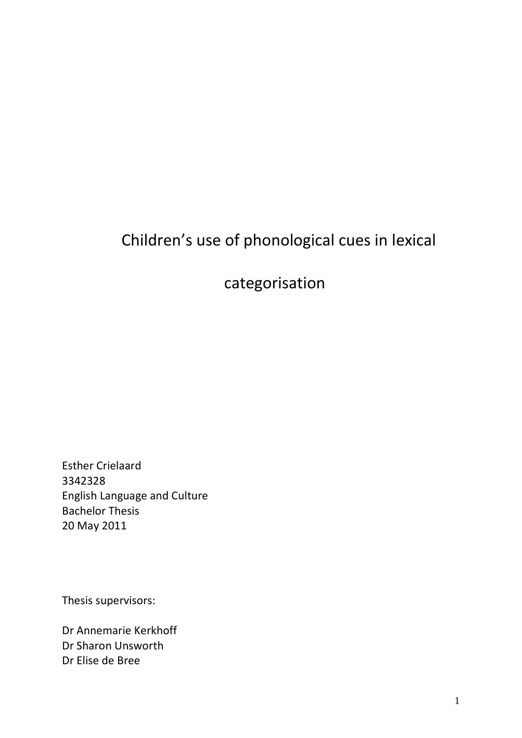# Children's use of phonological cues in lexical

## categorisation

Esther Crielaard 3342328 English Language and Culture Bachelor Thesis 20 May 2011

Thesis supervisors:

Dr Annemarie Kerkhoff Dr Sharon Unsworth Dr Elise de Bree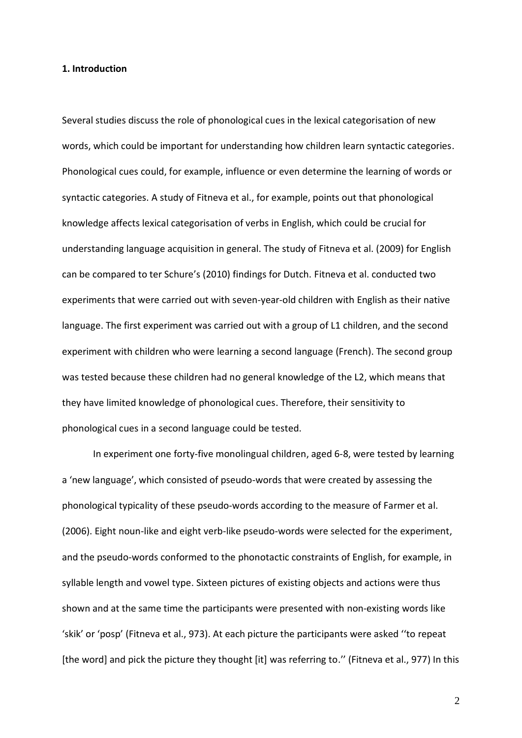#### **1. Introduction**

Several studies discuss the role of phonological cues in the lexical categorisation of new words, which could be important for understanding how children learn syntactic categories. Phonological cues could, for example, influence or even determine the learning of words or syntactic categories. A study of Fitneva et al., for example, points out that phonological knowledge affects lexical categorisation of verbs in English, which could be crucial for understanding language acquisition in general. The study of Fitneva et al. (2009) for English can be compared to ter Schure's (2010) findings for Dutch. Fitneva et al. conducted two experiments that were carried out with seven-year-old children with English as their native language. The first experiment was carried out with a group of L1 children, and the second experiment with children who were learning a second language (French). The second group was tested because these children had no general knowledge of the L2, which means that they have limited knowledge of phonological cues. Therefore, their sensitivity to phonological cues in a second language could be tested.

In experiment one forty-five monolingual children, aged 6-8, were tested by learning a 'new language', which consisted of pseudo-words that were created by assessing the phonological typicality of these pseudo-words according to the measure of Farmer et al. (2006). Eight noun-like and eight verb-like pseudo-words were selected for the experiment, and the pseudo-words conformed to the phonotactic constraints of English, for example, in syllable length and vowel type. Sixteen pictures of existing objects and actions were thus shown and at the same time the participants were presented with non-existing words like 'skik' or 'posp' (Fitneva et al., 973). At each picture the participants were asked ''to repeat [the word] and pick the picture they thought [it] was referring to." (Fitneva et al., 977) In this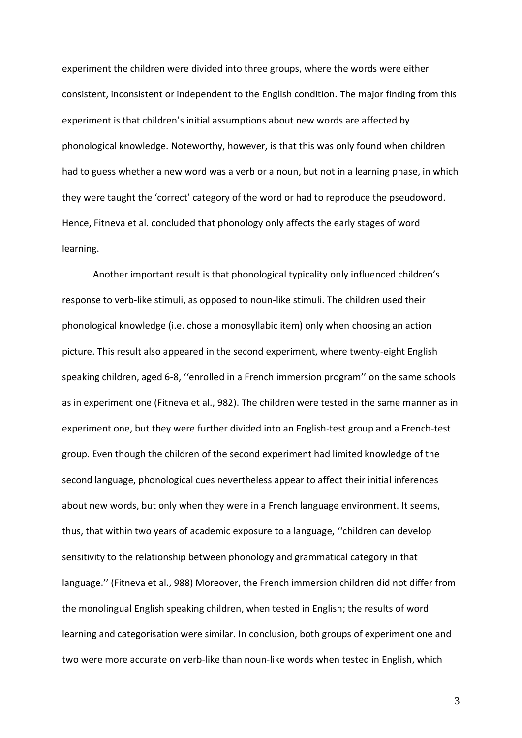experiment the children were divided into three groups, where the words were either consistent, inconsistent or independent to the English condition. The major finding from this experiment is that children's initial assumptions about new words are affected by phonological knowledge. Noteworthy, however, is that this was only found when children had to guess whether a new word was a verb or a noun, but not in a learning phase, in which they were taught the 'correct' category of the word or had to reproduce the pseudoword. Hence, Fitneva et al. concluded that phonology only affects the early stages of word learning.

Another important result is that phonological typicality only influenced children's response to verb-like stimuli, as opposed to noun-like stimuli. The children used their phonological knowledge (i.e. chose a monosyllabic item) only when choosing an action picture. This result also appeared in the second experiment, where twenty-eight English speaking children, aged 6-8, ''enrolled in a French immersion program'' on the same schools as in experiment one (Fitneva et al., 982). The children were tested in the same manner as in experiment one, but they were further divided into an English-test group and a French-test group. Even though the children of the second experiment had limited knowledge of the second language, phonological cues nevertheless appear to affect their initial inferences about new words, but only when they were in a French language environment. It seems, thus, that within two years of academic exposure to a language, ''children can develop sensitivity to the relationship between phonology and grammatical category in that language.'' (Fitneva et al., 988) Moreover, the French immersion children did not differ from the monolingual English speaking children, when tested in English; the results of word learning and categorisation were similar. In conclusion, both groups of experiment one and two were more accurate on verb-like than noun-like words when tested in English, which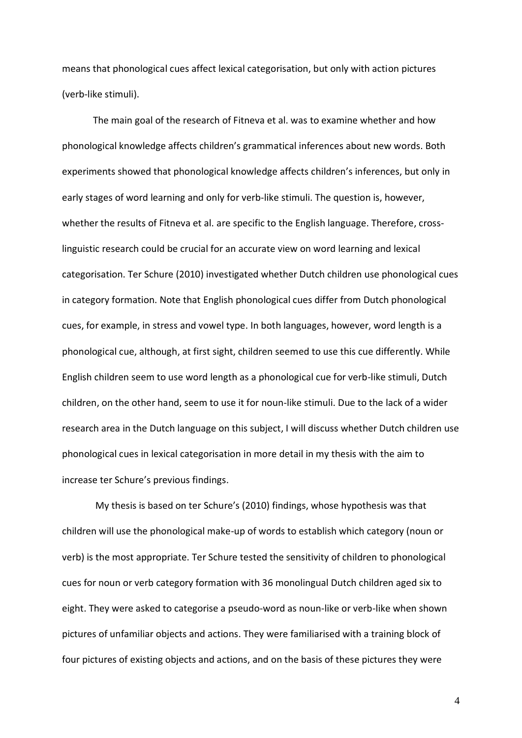means that phonological cues affect lexical categorisation, but only with action pictures (verb-like stimuli).

The main goal of the research of Fitneva et al. was to examine whether and how phonological knowledge affects children's grammatical inferences about new words. Both experiments showed that phonological knowledge affects children's inferences, but only in early stages of word learning and only for verb-like stimuli. The question is, however, whether the results of Fitneva et al. are specific to the English language. Therefore, crosslinguistic research could be crucial for an accurate view on word learning and lexical categorisation. Ter Schure (2010) investigated whether Dutch children use phonological cues in category formation. Note that English phonological cues differ from Dutch phonological cues, for example, in stress and vowel type. In both languages, however, word length is a phonological cue, although, at first sight, children seemed to use this cue differently. While English children seem to use word length as a phonological cue for verb-like stimuli, Dutch children, on the other hand, seem to use it for noun-like stimuli. Due to the lack of a wider research area in the Dutch language on this subject, I will discuss whether Dutch children use phonological cues in lexical categorisation in more detail in my thesis with the aim to increase ter Schure's previous findings.

My thesis is based on ter Schure's (2010) findings, whose hypothesis was that children will use the phonological make-up of words to establish which category (noun or verb) is the most appropriate. Ter Schure tested the sensitivity of children to phonological cues for noun or verb category formation with 36 monolingual Dutch children aged six to eight. They were asked to categorise a pseudo-word as noun-like or verb-like when shown pictures of unfamiliar objects and actions. They were familiarised with a training block of four pictures of existing objects and actions, and on the basis of these pictures they were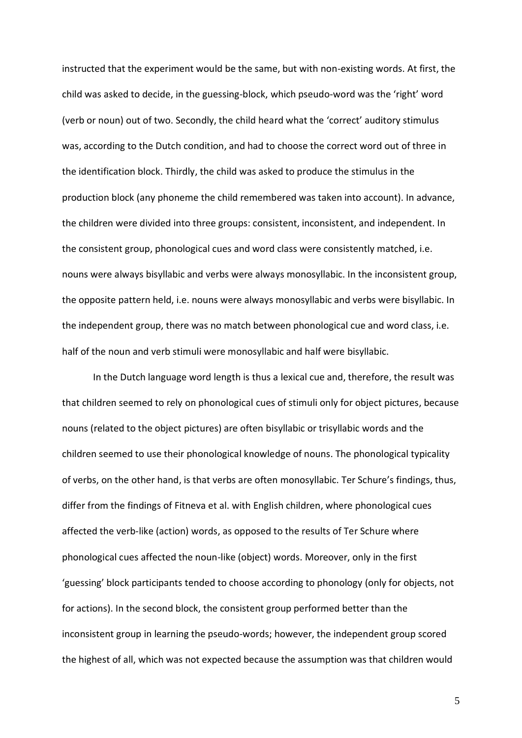instructed that the experiment would be the same, but with non-existing words. At first, the child was asked to decide, in the guessing-block, which pseudo-word was the 'right' word (verb or noun) out of two. Secondly, the child heard what the 'correct' auditory stimulus was, according to the Dutch condition, and had to choose the correct word out of three in the identification block. Thirdly, the child was asked to produce the stimulus in the production block (any phoneme the child remembered was taken into account). In advance, the children were divided into three groups: consistent, inconsistent, and independent. In the consistent group, phonological cues and word class were consistently matched, i.e. nouns were always bisyllabic and verbs were always monosyllabic. In the inconsistent group, the opposite pattern held, i.e. nouns were always monosyllabic and verbs were bisyllabic. In the independent group, there was no match between phonological cue and word class, i.e. half of the noun and verb stimuli were monosyllabic and half were bisyllabic.

In the Dutch language word length is thus a lexical cue and, therefore, the result was that children seemed to rely on phonological cues of stimuli only for object pictures, because nouns (related to the object pictures) are often bisyllabic or trisyllabic words and the children seemed to use their phonological knowledge of nouns. The phonological typicality of verbs, on the other hand, is that verbs are often monosyllabic. Ter Schure's findings, thus, differ from the findings of Fitneva et al. with English children, where phonological cues affected the verb-like (action) words, as opposed to the results of Ter Schure where phonological cues affected the noun-like (object) words. Moreover, only in the first 'guessing' block participants tended to choose according to phonology (only for objects, not for actions). In the second block, the consistent group performed better than the inconsistent group in learning the pseudo-words; however, the independent group scored the highest of all, which was not expected because the assumption was that children would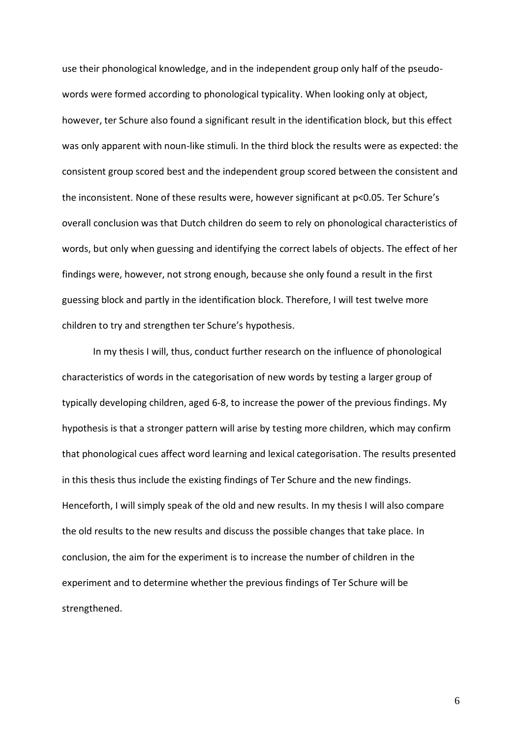use their phonological knowledge, and in the independent group only half of the pseudowords were formed according to phonological typicality. When looking only at object, however, ter Schure also found a significant result in the identification block, but this effect was only apparent with noun-like stimuli. In the third block the results were as expected: the consistent group scored best and the independent group scored between the consistent and the inconsistent. None of these results were, however significant at p<0.05. Ter Schure's overall conclusion was that Dutch children do seem to rely on phonological characteristics of words, but only when guessing and identifying the correct labels of objects. The effect of her findings were, however, not strong enough, because she only found a result in the first guessing block and partly in the identification block. Therefore, I will test twelve more children to try and strengthen ter Schure's hypothesis.

In my thesis I will, thus, conduct further research on the influence of phonological characteristics of words in the categorisation of new words by testing a larger group of typically developing children, aged 6-8, to increase the power of the previous findings. My hypothesis is that a stronger pattern will arise by testing more children, which may confirm that phonological cues affect word learning and lexical categorisation. The results presented in this thesis thus include the existing findings of Ter Schure and the new findings. Henceforth, I will simply speak of the old and new results. In my thesis I will also compare the old results to the new results and discuss the possible changes that take place. In conclusion, the aim for the experiment is to increase the number of children in the experiment and to determine whether the previous findings of Ter Schure will be strengthened.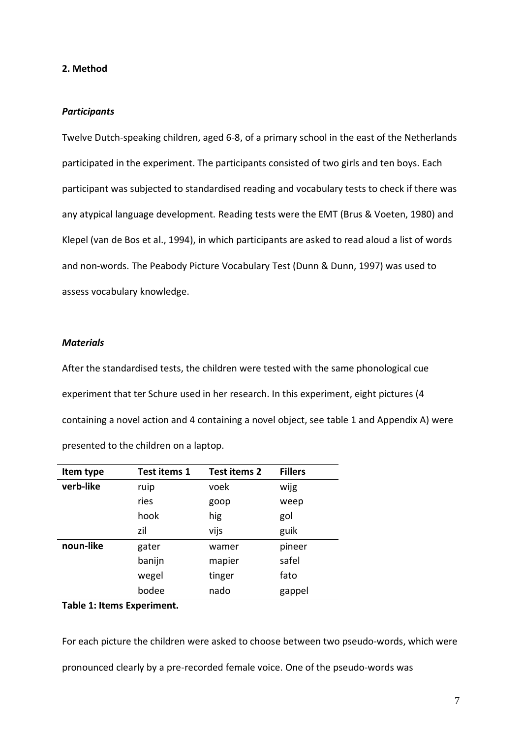#### **2. Method**

#### *Participants*

Twelve Dutch-speaking children, aged 6-8, of a primary school in the east of the Netherlands participated in the experiment. The participants consisted of two girls and ten boys. Each participant was subjected to standardised reading and vocabulary tests to check if there was any atypical language development. Reading tests were the EMT (Brus & Voeten, 1980) and Klepel (van de Bos et al., 1994), in which participants are asked to read aloud a list of words and non-words. The Peabody Picture Vocabulary Test (Dunn & Dunn, 1997) was used to assess vocabulary knowledge.

### *Materials*

After the standardised tests, the children were tested with the same phonological cue experiment that ter Schure used in her research. In this experiment, eight pictures (4 containing a novel action and 4 containing a novel object, see table 1 and Appendix A) were presented to the children on a laptop.

| Item type | <b>Test items 1</b> | Test items 2 | <b>Fillers</b> |
|-----------|---------------------|--------------|----------------|
| verb-like | ruip                | voek         | wijg           |
|           | ries                | goop         | weep           |
|           | hook                | hig          | gol            |
|           | zil                 | vijs         | guik           |
| noun-like | gater               | wamer        | pineer         |
|           | banijn              | mapier       | safel          |
|           | wegel               | tinger       | fato           |
|           | bodee               | nado         | gappel         |

#### **Table 1: Items Experiment.**

For each picture the children were asked to choose between two pseudo-words, which were pronounced clearly by a pre-recorded female voice. One of the pseudo-words was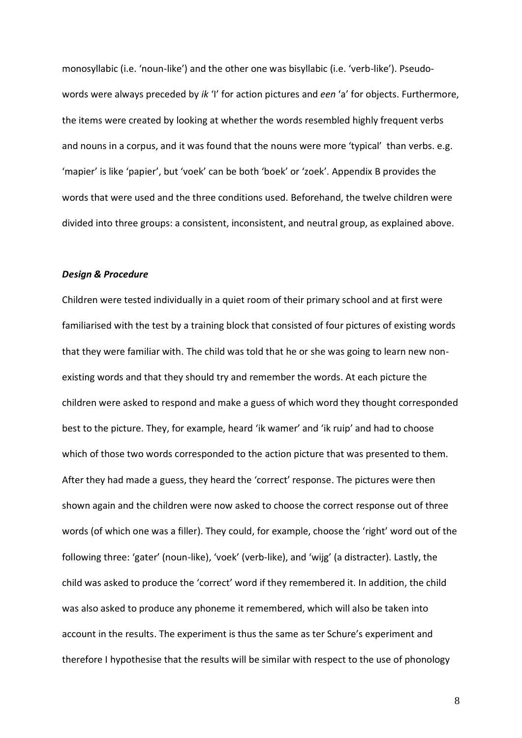monosyllabic (i.e. 'noun-like') and the other one was bisyllabic (i.e. 'verb-like'). Pseudowords were always preceded by *ik* 'I' for action pictures and *een* 'a' for objects. Furthermore, the items were created by looking at whether the words resembled highly frequent verbs and nouns in a corpus, and it was found that the nouns were more 'typical' than verbs. e.g. 'mapier' is like 'papier', but 'voek' can be both 'boek' or 'zoek'. Appendix B provides the words that were used and the three conditions used. Beforehand, the twelve children were divided into three groups: a consistent, inconsistent, and neutral group, as explained above.

#### *Design & Procedure*

Children were tested individually in a quiet room of their primary school and at first were familiarised with the test by a training block that consisted of four pictures of existing words that they were familiar with. The child was told that he or she was going to learn new nonexisting words and that they should try and remember the words. At each picture the children were asked to respond and make a guess of which word they thought corresponded best to the picture. They, for example, heard 'ik wamer' and 'ik ruip' and had to choose which of those two words corresponded to the action picture that was presented to them. After they had made a guess, they heard the 'correct' response. The pictures were then shown again and the children were now asked to choose the correct response out of three words (of which one was a filler). They could, for example, choose the 'right' word out of the following three: 'gater' (noun-like), 'voek' (verb-like), and 'wijg' (a distracter). Lastly, the child was asked to produce the 'correct' word if they remembered it. In addition, the child was also asked to produce any phoneme it remembered, which will also be taken into account in the results. The experiment is thus the same as ter Schure's experiment and therefore I hypothesise that the results will be similar with respect to the use of phonology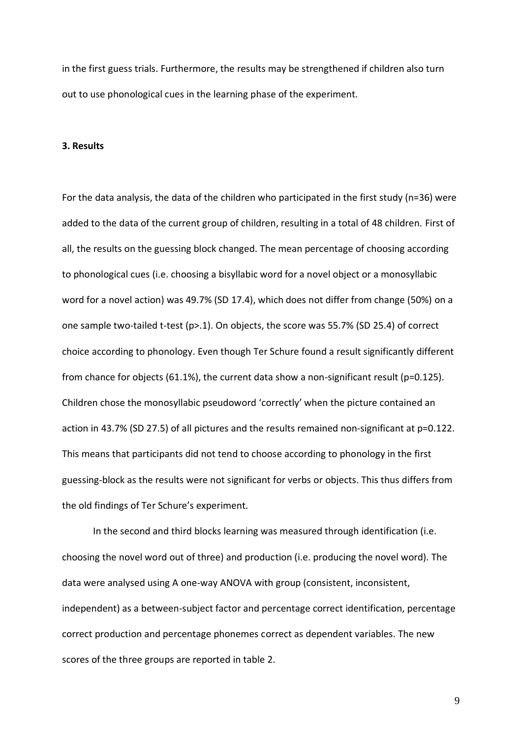in the first guess trials. Furthermore, the results may be strengthened if children also turn out to use phonological cues in the learning phase of the experiment.

#### **3. Results**

For the data analysis, the data of the children who participated in the first study (n=36) were added to the data of the current group of children, resulting in a total of 48 children. First of all, the results on the guessing block changed. The mean percentage of choosing according to phonological cues (i.e. choosing a bisyllabic word for a novel object or a monosyllabic word for a novel action) was 49.7% (SD 17.4), which does not differ from change (50%) on a one sample two-tailed t-test (p>.1). On objects, the score was 55.7% (SD 25.4) of correct choice according to phonology. Even though Ter Schure found a result significantly different from chance for objects (61.1%), the current data show a non-significant result (p=0.125). Children chose the monosyllabic pseudoword 'correctly' when the picture contained an action in 43.7% (SD 27.5) of all pictures and the results remained non-significant at p=0.122. This means that participants did not tend to choose according to phonology in the first guessing-block as the results were not significant for verbs or objects. This thus differs from the old findings of Ter Schure's experiment.

In the second and third blocks learning was measured through identification (i.e. choosing the novel word out of three) and production (i.e. producing the novel word). The data were analysed using A one-way ANOVA with group (consistent, inconsistent, independent) as a between-subject factor and percentage correct identification, percentage correct production and percentage phonemes correct as dependent variables. The new scores of the three groups are reported in table 2.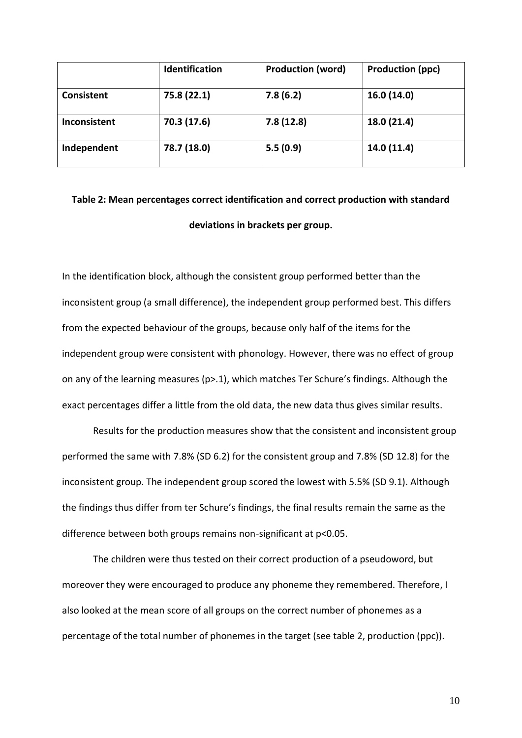|                   | <b>Identification</b> | <b>Production (word)</b> | <b>Production (ppc)</b> |
|-------------------|-----------------------|--------------------------|-------------------------|
| <b>Consistent</b> | 75.8 (22.1)           | 7.8(6.2)                 | 16.0 (14.0)             |
| Inconsistent      | 70.3 (17.6)           | 7.8(12.8)                | 18.0 (21.4)             |
| Independent       | 78.7 (18.0)           | 5.5(0.9)                 | 14.0 (11.4)             |

## **Table 2: Mean percentages correct identification and correct production with standard deviations in brackets per group.**

In the identification block, although the consistent group performed better than the inconsistent group (a small difference), the independent group performed best. This differs from the expected behaviour of the groups, because only half of the items for the independent group were consistent with phonology. However, there was no effect of group on any of the learning measures (p>.1), which matches Ter Schure's findings. Although the exact percentages differ a little from the old data, the new data thus gives similar results.

Results for the production measures show that the consistent and inconsistent group performed the same with 7.8% (SD 6.2) for the consistent group and 7.8% (SD 12.8) for the inconsistent group. The independent group scored the lowest with 5.5% (SD 9.1). Although the findings thus differ from ter Schure's findings, the final results remain the same as the difference between both groups remains non-significant at p<0.05.

The children were thus tested on their correct production of a pseudoword, but moreover they were encouraged to produce any phoneme they remembered. Therefore, I also looked at the mean score of all groups on the correct number of phonemes as a percentage of the total number of phonemes in the target (see table 2, production (ppc)).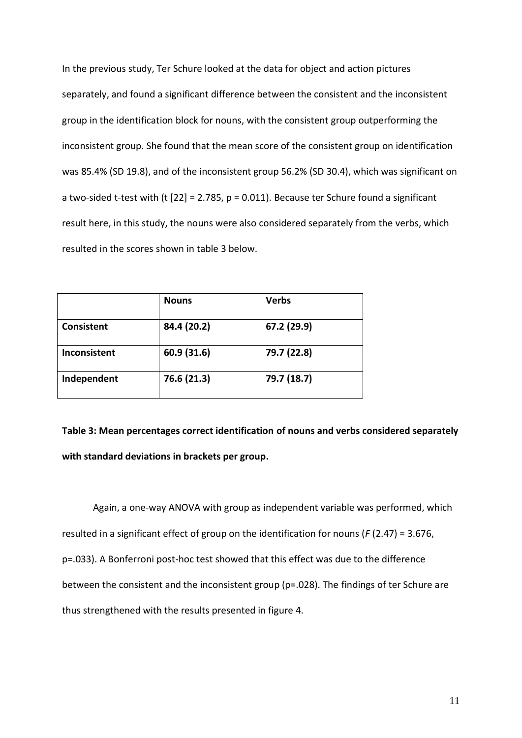In the previous study, Ter Schure looked at the data for object and action pictures separately, and found a significant difference between the consistent and the inconsistent group in the identification block for nouns, with the consistent group outperforming the inconsistent group. She found that the mean score of the consistent group on identification was 85.4% (SD 19.8), and of the inconsistent group 56.2% (SD 30.4), which was significant on a two-sided t-test with (t  $[22] = 2.785$ ,  $p = 0.011$ ). Because ter Schure found a significant result here, in this study, the nouns were also considered separately from the verbs, which resulted in the scores shown in table 3 below.

|                     | <b>Nouns</b> | <b>Verbs</b> |
|---------------------|--------------|--------------|
| <b>Consistent</b>   | 84.4 (20.2)  | 67.2 (29.9)  |
| <b>Inconsistent</b> | 60.9 (31.6)  | 79.7 (22.8)  |
| Independent         | 76.6 (21.3)  | 79.7 (18.7)  |

**Table 3: Mean percentages correct identification of nouns and verbs considered separately with standard deviations in brackets per group.**

Again, a one-way ANOVA with group as independent variable was performed, which resulted in a significant effect of group on the identification for nouns (*F* (2.47) = 3.676, p=.033). A Bonferroni post-hoc test showed that this effect was due to the difference between the consistent and the inconsistent group (p=.028). The findings of ter Schure are thus strengthened with the results presented in figure 4.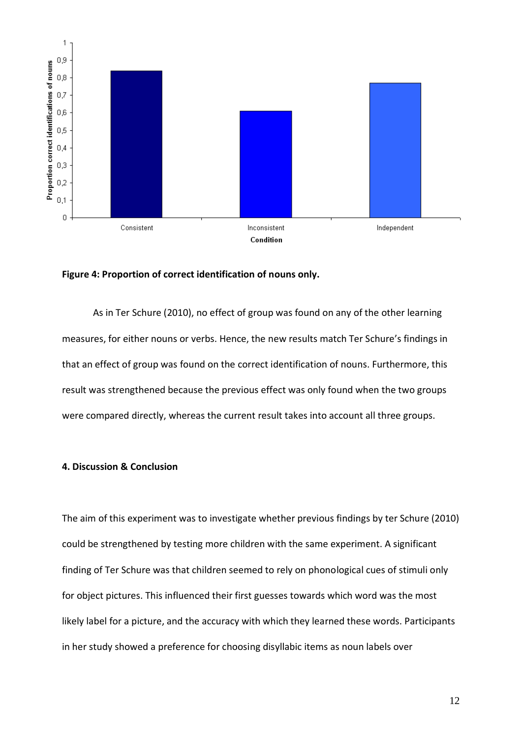

#### **Figure 4: Proportion of correct identification of nouns only.**

As in Ter Schure (2010), no effect of group was found on any of the other learning measures, for either nouns or verbs. Hence, the new results match Ter Schure's findings in that an effect of group was found on the correct identification of nouns. Furthermore, this result was strengthened because the previous effect was only found when the two groups were compared directly, whereas the current result takes into account all three groups.

## **4. Discussion & Conclusion**

The aim of this experiment was to investigate whether previous findings by ter Schure (2010) could be strengthened by testing more children with the same experiment. A significant finding of Ter Schure was that children seemed to rely on phonological cues of stimuli only for object pictures. This influenced their first guesses towards which word was the most likely label for a picture, and the accuracy with which they learned these words. Participants in her study showed a preference for choosing disyllabic items as noun labels over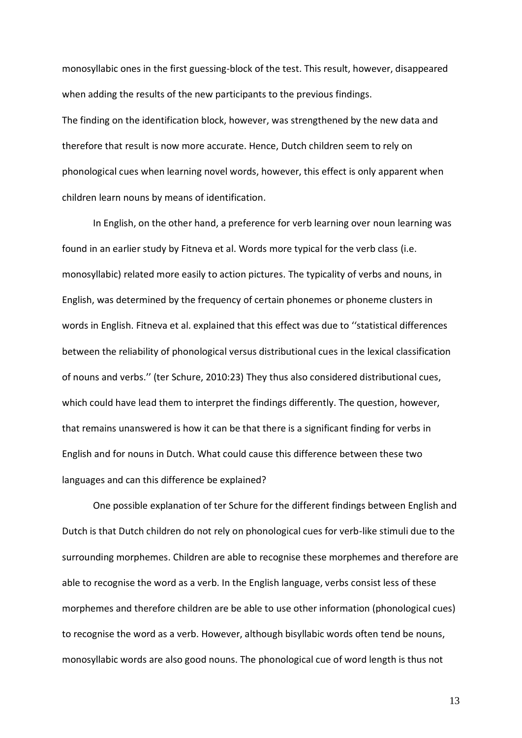monosyllabic ones in the first guessing-block of the test. This result, however, disappeared when adding the results of the new participants to the previous findings. The finding on the identification block, however, was strengthened by the new data and therefore that result is now more accurate. Hence, Dutch children seem to rely on phonological cues when learning novel words, however, this effect is only apparent when children learn nouns by means of identification.

In English, on the other hand, a preference for verb learning over noun learning was found in an earlier study by Fitneva et al. Words more typical for the verb class (i.e. monosyllabic) related more easily to action pictures. The typicality of verbs and nouns, in English, was determined by the frequency of certain phonemes or phoneme clusters in words in English. Fitneva et al. explained that this effect was due to ''statistical differences between the reliability of phonological versus distributional cues in the lexical classification of nouns and verbs.'' (ter Schure, 2010:23) They thus also considered distributional cues, which could have lead them to interpret the findings differently. The question, however, that remains unanswered is how it can be that there is a significant finding for verbs in English and for nouns in Dutch. What could cause this difference between these two languages and can this difference be explained?

One possible explanation of ter Schure for the different findings between English and Dutch is that Dutch children do not rely on phonological cues for verb-like stimuli due to the surrounding morphemes. Children are able to recognise these morphemes and therefore are able to recognise the word as a verb. In the English language, verbs consist less of these morphemes and therefore children are be able to use other information (phonological cues) to recognise the word as a verb. However, although bisyllabic words often tend be nouns, monosyllabic words are also good nouns. The phonological cue of word length is thus not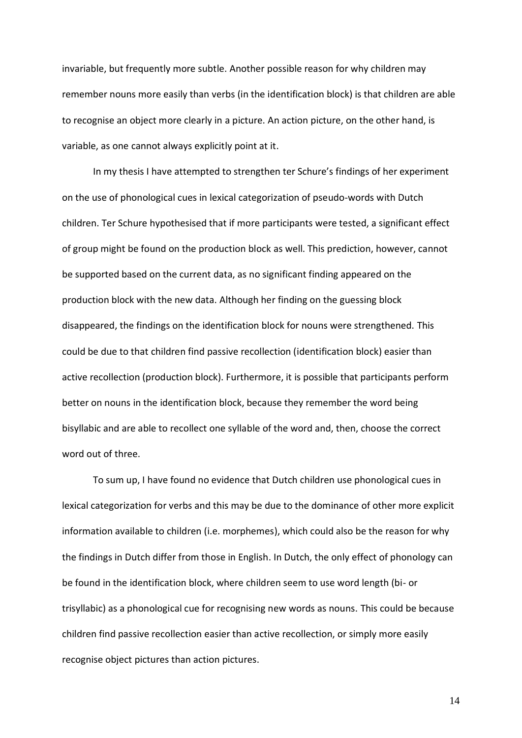invariable, but frequently more subtle. Another possible reason for why children may remember nouns more easily than verbs (in the identification block) is that children are able to recognise an object more clearly in a picture. An action picture, on the other hand, is variable, as one cannot always explicitly point at it.

In my thesis I have attempted to strengthen ter Schure's findings of her experiment on the use of phonological cues in lexical categorization of pseudo-words with Dutch children. Ter Schure hypothesised that if more participants were tested, a significant effect of group might be found on the production block as well. This prediction, however, cannot be supported based on the current data, as no significant finding appeared on the production block with the new data. Although her finding on the guessing block disappeared, the findings on the identification block for nouns were strengthened. This could be due to that children find passive recollection (identification block) easier than active recollection (production block). Furthermore, it is possible that participants perform better on nouns in the identification block, because they remember the word being bisyllabic and are able to recollect one syllable of the word and, then, choose the correct word out of three.

To sum up, I have found no evidence that Dutch children use phonological cues in lexical categorization for verbs and this may be due to the dominance of other more explicit information available to children (i.e. morphemes), which could also be the reason for why the findings in Dutch differ from those in English. In Dutch, the only effect of phonology can be found in the identification block, where children seem to use word length (bi- or trisyllabic) as a phonological cue for recognising new words as nouns. This could be because children find passive recollection easier than active recollection, or simply more easily recognise object pictures than action pictures.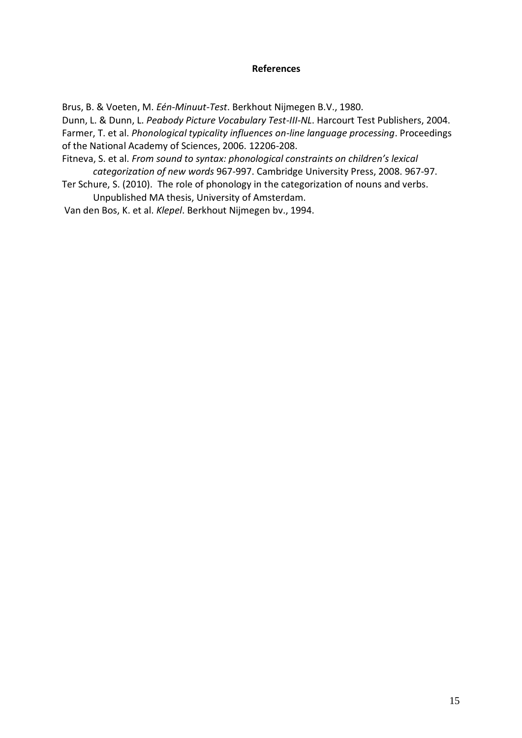#### **References**

Brus, B. & Voeten, M. *Eén-Minuut-Test*. Berkhout Nijmegen B.V., 1980.

Dunn, L. & Dunn, L. *Peabody Picture Vocabulary Test-III-NL*. Harcourt Test Publishers, 2004. Farmer, T. et al. *Phonological typicality influences on-line language processing*. Proceedings of the National Academy of Sciences, 2006. 12206-208.

- Fitneva, S. et al. *From sound to syntax: phonological constraints on children's lexical categorization of new words* 967-997. Cambridge University Press, 2008. 967-97.
- Ter Schure, S. (2010). The role of phonology in the categorization of nouns and verbs. Unpublished MA thesis, University of Amsterdam.

Van den Bos, K. et al. *Klepel*. Berkhout Nijmegen bv., 1994.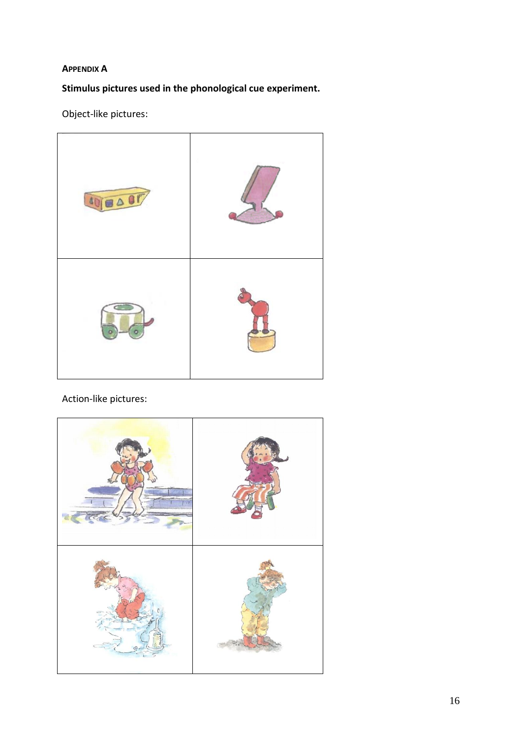## **APPENDIX A**

**Stimulus pictures used in the phonological cue experiment.**

Object-like pictures:



Action-like pictures: